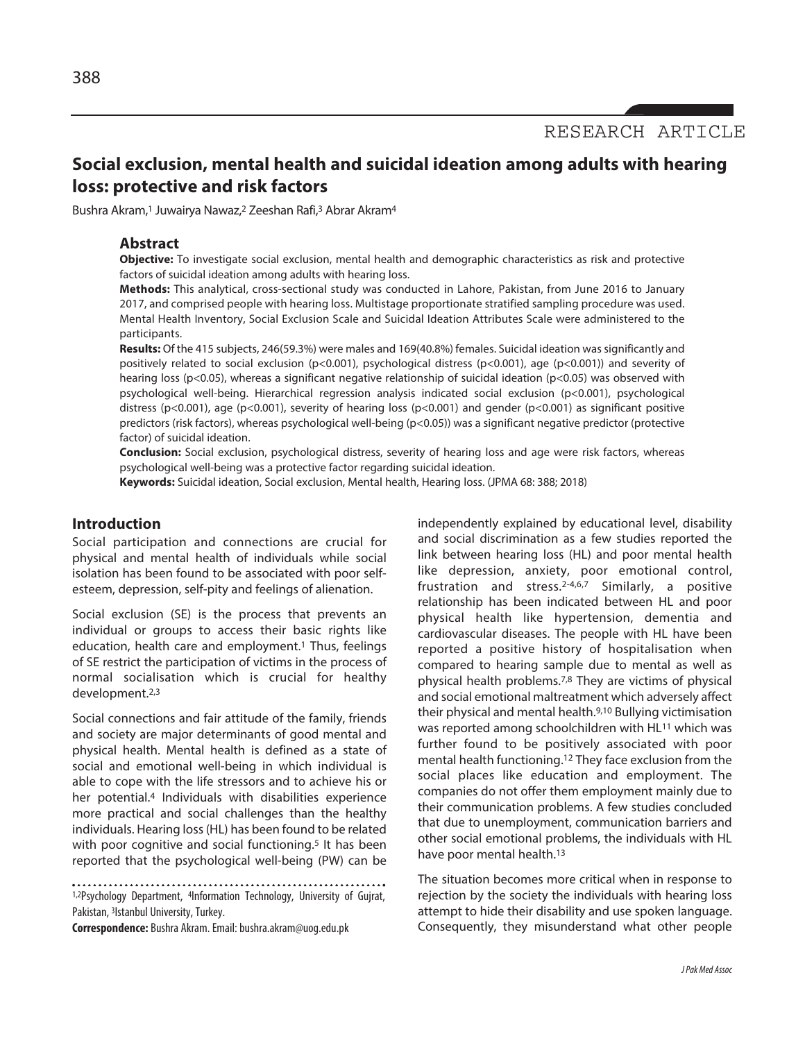RESEARCH ARTICLE

# **Social exclusion, mental health and suicidal ideation among adults with hearing loss: protective and risk factors**

Bushra Akram, <sup>1</sup> Juwairya Nawaz, <sup>2</sup> Zeeshan Rafi, <sup>3</sup> Abrar Akram4

## **Abstract**

**Objective:** To investigate social exclusion, mental health and demographic characteristics as risk and protective factors of suicidal ideation among adults with hearing loss.

**Methods:** This analytical, cross-sectional study was conducted in Lahore, Pakistan, from June 2016 to January 2017, and comprised people with hearing loss. Multistage proportionate stratified sampling procedure was used. Mental Health Inventory, Social Exclusion Scale and Suicidal Ideation Attributes Scale were administered to the participants.

**Results:** Of the 415 subjects, 246(59.3%) were males and 169(40.8%) females. Suicidal ideation was significantly and positively related to social exclusion (p<0.001), psychological distress (p<0.001), age (p<0.001)) and severity of hearing loss (p<0.05), whereas a significant negative relationship of suicidal ideation (p<0.05) was observed with psychological well-being. Hierarchical regression analysis indicated social exclusion (p<0.001), psychological distress (p<0.001), age (p<0.001), severity of hearing loss (p<0.001) and gender (p<0.001) as significant positive predictors (risk factors), whereas psychological well-being (p<0.05)) was a significant negative predictor (protective factor) of suicidal ideation.

**Conclusion:** Social exclusion, psychological distress, severity of hearing loss and age were risk factors, whereas psychological well-being was a protective factor regarding suicidal ideation.

**Keywords:** Suicidal ideation, Social exclusion, Mental health, Hearing loss. (JPMA 68: 388; 2018)

# **Introduction**

Social participation and connections are crucial for physical and mental health of individuals while social isolation has been found to be associated with poor selfesteem, depression, self-pity and feelings of alienation.

Social exclusion (SE) is the process that prevents an individual or groups to access their basic rights like education, health care and employment. <sup>1</sup> Thus, feelings of SE restrict the participation of victims in the process of normal socialisation which is crucial for healthy development. 2,3

Social connections and fair attitude of the family, friends and society are major determinants of good mental and physical health. Mental health is defined as a state of social and emotional well-being in which individual is able to cope with the life stressors and to achieve his or her potential. <sup>4</sup> Individuals with disabilities experience more practical and social challenges than the healthy individuals. Hearing loss(HL) has been found to be related with poor cognitive and social functioning. <sup>5</sup> It has been reported that the psychological well-being (PW) can be

1,2Psychology Department, <sup>4</sup>Information Technology, University of Gujrat, Pakistan, <sup>3</sup>Istanbul University, Turkey.

**Correspondence:** Bushra Akram.Email:bushra.akram@uog.edu.pk

independently explained by educational level, disability and social discrimination as a few studies reported the link between hearing loss (HL) and poor mental health like depression, anxiety, poor emotional control, frustration and stress. 2-4,6,7 Similarly, a positive relationship has been indicated between HL and poor physical health like hypertension, dementia and cardiovascular diseases. The people with HL have been reported a positive history of hospitalisation when compared to hearing sample due to mental as well as physical health problems. 7,8 They are victims of physical and social emotional maltreatment which adversely affect their physical and mental health. 9,10 Bullying victimisation was reported among schoolchildren with HL<sup>11</sup> which was further found to be positively associated with poor mental health functioning. <sup>12</sup> They face exclusion from the social places like education and employment. The companies do not offer them employment mainly due to their communication problems. A few studies concluded that due to unemployment, communication barriers and other social emotional problems, the individuals with HL have poor mental health. 13

The situation becomes more critical when in response to rejection by the society the individuals with hearing loss attempt to hide their disability and use spoken language. Consequently, they misunderstand what other people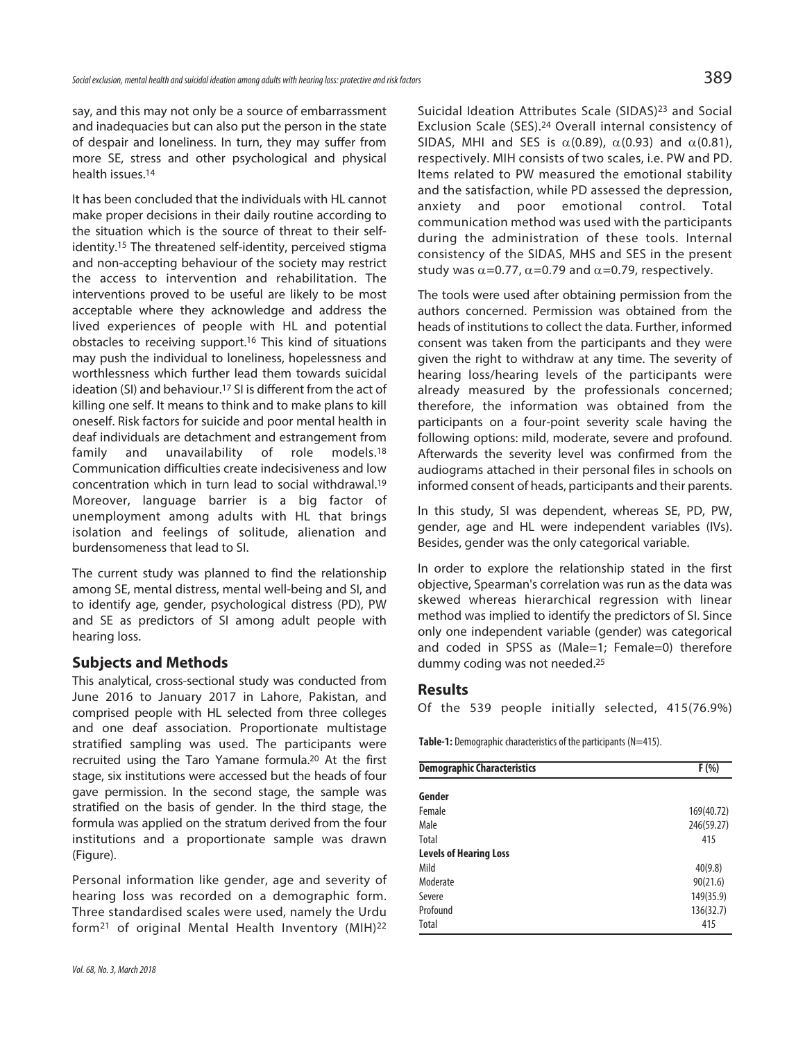say, and this may not only be a source of embarrassment and inadequacies but can also put the person in the state of despair and loneliness. In turn, they may suffer from more SE, stress and other psychological and physical health issues. 14

It has been concluded that the individuals with HL cannot make proper decisions in their daily routine according to the situation which is the source of threat to their selfidentity. 15 The threatened self-identity, perceived stigma and non-accepting behaviour of the society may restrict the access to intervention and rehabilitation. The interventions proved to be useful are likely to be most acceptable where they acknowledge and address the lived experiences of people with HL and potential obstacles to receiving support. <sup>16</sup> This kind of situations may push the individual to loneliness, hopelessness and worthlessness which further lead them towards suicidal ideation (SI) and behaviour. <sup>17</sup> SI is different from the act of killing one self. It means to think and to make plans to kill oneself. Risk factors for suicide and poor mental health in deaf individuals are detachment and estrangement from family and unavailability of role models.<sup>18</sup> Communication difficulties create indecisiveness and low concentration which in turn lead to social withdrawal. 19 Moreover, language barrier is a big factor of unemployment among adults with HL that brings isolation and feelings of solitude, alienation and burdensomeness that lead to SI.

The current study was planned to find the relationship among SE, mental distress, mental well-being and SI, and to identify age, gender, psychological distress (PD), PW and SE as predictors of SI among adult people with hearing loss.

# **Subjects and Methods**

This analytical, cross-sectional study was conducted from June 2016 to January 2017 in Lahore, Pakistan, and comprised people with HL selected from three colleges and one deaf association. Proportionate multistage stratified sampling was used. The participants were recruited using the Taro Yamane formula. <sup>20</sup> At the first stage, six institutions were accessed but the heads of four gave permission. In the second stage, the sample was stratified on the basis of gender. In the third stage, the formula was applied on the stratum derived from the four institutions and a proportionate sample was drawn (Figure).

Personal information like gender, age and severity of hearing loss was recorded on a demographic form. Three standardised scales were used, namely the Urdu form21 of original Mental Health Inventory (MIH)22

Suicidal Ideation Attributes Scale (SIDAS)23 and Social Exclusion Scale (SES). <sup>24</sup> Overall internal consistency of SIDAS, MHI and SES is  $\alpha(0.89)$ ,  $\alpha(0.93)$  and  $\alpha(0.81)$ , respectively. MIH consists of two scales, i.e. PW and PD. Items related to PW measured the emotional stability and the satisfaction, while PD assessed the depression, anxiety and poor emotional control. Total communication method was used with the participants during the administration of these tools. Internal consistency of the SIDAS, MHS and SES in the present study was  $\alpha$ =0.77,  $\alpha$ =0.79 and  $\alpha$ =0.79, respectively.

The tools were used after obtaining permission from the authors concerned. Permission was obtained from the heads of institutions to collect the data. Further, informed consent was taken from the participants and they were given the right to withdraw at any time. The severity of hearing loss/hearing levels of the participants were already measured by the professionals concerned; therefore, the information was obtained from the participants on a four-point severity scale having the following options: mild, moderate, severe and profound. Afterwards the severity level was confirmed from the audiograms attached in their personal files in schools on informed consent of heads, participants and their parents.

In this study, SI was dependent, whereas SE, PD, PW, gender, age and HL were independent variables (IVs). Besides, gender was the only categorical variable.

In order to explore the relationship stated in the first objective, Spearman's correlation was run as the data was skewed whereas hierarchical regression with linear method was implied to identify the predictors of SI. Since only one independent variable (gender) was categorical and coded in SPSS as (Male=1; Female=0) therefore dummy coding was not needed. 25

### **Results**

Of the 539 people initially selected, 415(76.9%)

**Table-1:** Demographic characteristics of the participants (N=415).

| <b>Demographic Characteristics</b> | F(%)       |
|------------------------------------|------------|
| Gender                             |            |
| Female                             | 169(40.72) |
| Male                               | 246(59.27) |
| Total                              | 415        |
| <b>Levels of Hearing Loss</b>      |            |
| Mild                               | 40(9.8)    |
| Moderate                           | 90(21.6)   |
| Severe                             | 149(35.9)  |
| Profound                           | 136(32.7)  |
| Total                              | 415        |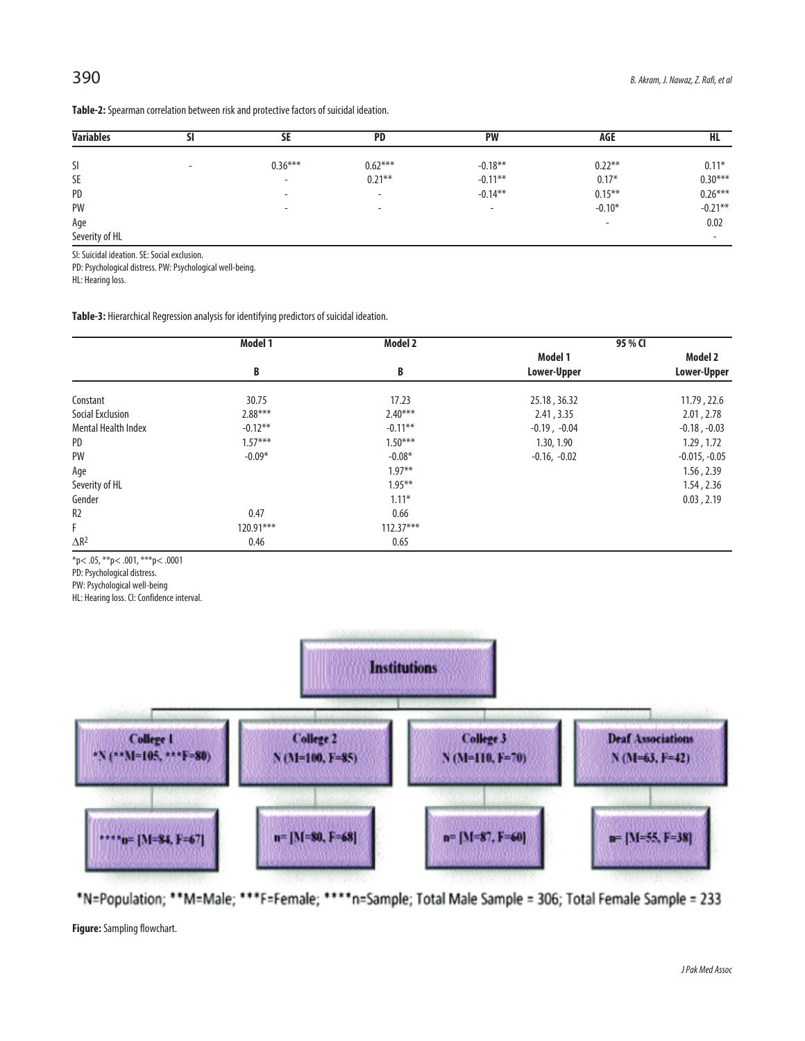| <b>Variables</b> | וכ                       | SE                       | <b>PD</b>                | <b>PW</b>                | AGE                      | HL                       |
|------------------|--------------------------|--------------------------|--------------------------|--------------------------|--------------------------|--------------------------|
|                  |                          |                          |                          |                          |                          |                          |
| SI               | $\overline{\phantom{0}}$ | $0.36***$                | $0.62***$                | $-0.18**$                | $0.22***$                | $0.11*$                  |
| SE               |                          | $\overline{\phantom{0}}$ | $0.21***$                | $-0.11***$               | $0.17*$                  | $0.30***$                |
| PD               |                          | $\overline{\phantom{0}}$ | $\overline{\phantom{0}}$ | $-0.14***$               | $0.15***$                | $0.26***$                |
| PW               |                          | $\overline{\phantom{a}}$ | $\overline{\phantom{0}}$ | $\overline{\phantom{0}}$ | $-0.10*$                 | $-0.21***$               |
| Age              |                          |                          |                          |                          | $\overline{\phantom{0}}$ | 0.02                     |
| Severity of HL   |                          |                          |                          |                          |                          | $\overline{\phantom{0}}$ |

Table-2: Spearman correlation between risk and protective factors of suicidal ideation.

SI: Suicidal ideation. SE: Social exclusion.

PD: Psychological distress. PW: Psychological well-being.

HL: Hearing loss.

Table-3: Hierarchical Regression analysis for identifying predictors of suicidal ideation.

|                            | Model 1     | Model 2     |                        | 95 % CI                |
|----------------------------|-------------|-------------|------------------------|------------------------|
|                            | B           | B           | Model 1<br>Lower-Upper | Model 2<br>Lower-Upper |
| Constant                   | 30.75       | 17.23       | 25.18, 36.32           | 11.79, 22.6            |
| Social Exclusion           | $2.88***$   | $2.40***$   | 2.41, 3.35             | 2.01, 2.78             |
| <b>Mental Health Index</b> | $-0.12***$  | $-0.11***$  | $-0.19$ , $-0.04$      | $-0.18$ , $-0.03$      |
| PD                         | $1.57***$   | $1.50***$   | 1.30, 1.90             | 1.29, 1.72             |
| PW                         | $-0.09*$    | $-0.08*$    | $-0.16, -0.02$         | $-0.015, -0.05$        |
| Age                        |             | $1.97**$    |                        | 1.56, 2.39             |
| Severity of HL             |             | $1.95***$   |                        | 1.54, 2.36             |
| Gender                     |             | $1.11*$     |                        | 0.03, 2.19             |
| R <sub>2</sub>             | 0.47        | 0.66        |                        |                        |
| F                          | $120.91***$ | $112.37***$ |                        |                        |
| $\Delta R^2$               | 0.46        | 0.65        |                        |                        |

\*p<.05, \*\*p<.001, \*\*\*p<.0001

PD: Psychological distress.

PW: Psychological well-being

HL: Hearing loss. Cl: Confidence interval.



\*N=Population; \*\*M=Male; \*\*\*F=Female; \*\*\*\*n=Sample; Total Male Sample = 306; Total Female Sample = 233

Figure: Sampling flowchart.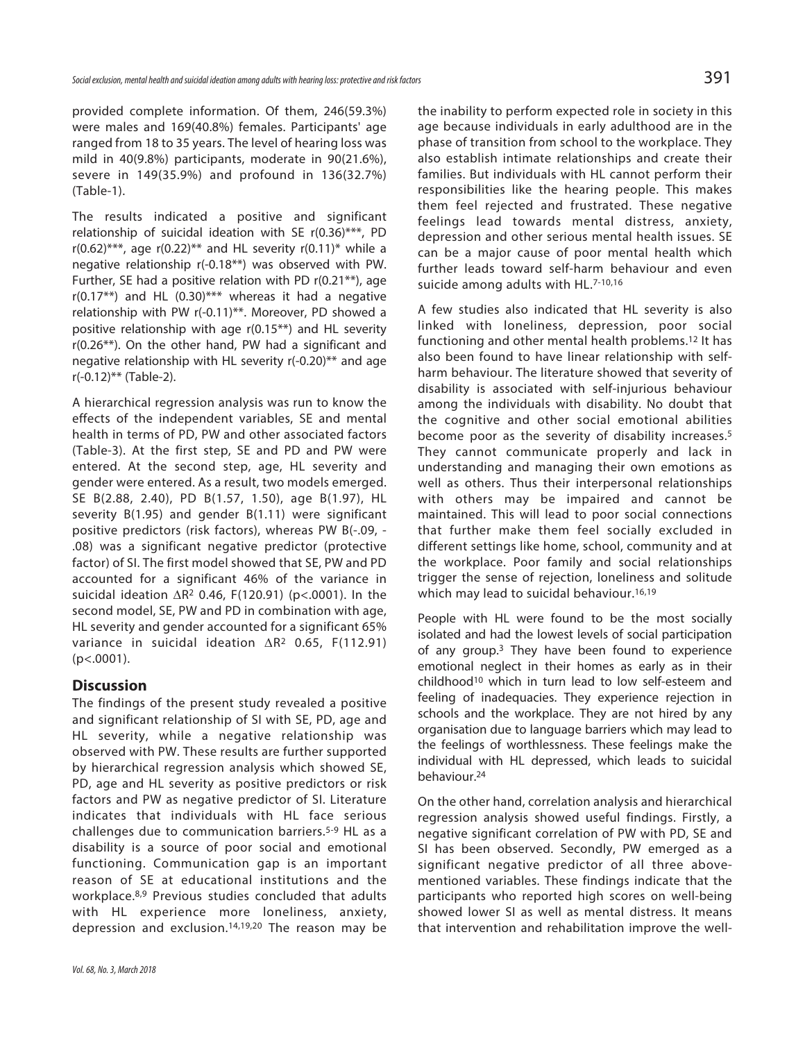provided complete information. Of them, 246(59.3%) were males and 169(40.8%) females. Participants' age ranged from 18 to 35 years. The level of hearing loss was mild in 40(9.8%) participants, moderate in 90(21.6%), severe in 149(35.9%) and profound in 136(32.7%) (Table-1).

The results indicated a positive and significant relationship of suicidal ideation with SE  $r(0.36)$ \*\*\*, PD  $r(0.62)$ <sup>\*\*\*</sup>, age  $r(0.22)$ <sup>\*\*</sup> and HL severity  $r(0.11)$ <sup>\*</sup> while a negative relationship r(-0.18\*\*) was observed with PW. Further, SE had a positive relation with PD r(0.21\*\*), age  $r(0.17**)$  and HL  $(0.30)***$  whereas it had a negative relationship with PW r(-0.11)\*\*. Moreover, PD showed a positive relationship with age r(0.15\*\*) and HL severity r(0.26\*\*). On the other hand, PW had a significant and negative relationship with HL severity r(-0.20)\*\* and age r(-0.12)\*\* (Table-2).

A hierarchical regression analysis was run to know the effects of the independent variables, SE and mental health in terms of PD, PW and other associated factors (Table-3). At the first step, SE and PD and PW were entered. At the second step, age, HL severity and gender were entered. As a result, two models emerged. SE B(2.88, 2.40), PD B(1.57, 1.50), age B(1.97), HL severity B(1.95) and gender B(1.11) were significant positive predictors (risk factors), whereas PW B(-.09, - .08) was a significant negative predictor (protective factor) of SI. The first model showed that SE, PW and PD accounted for a significant 46% of the variance in suicidal ideation  $\Delta$ R<sup>2</sup> 0.46, F(120.91) (p<.0001). In the second model, SE, PW and PD in combination with age, HL severity and gender accounted for a significant 65% variance in suicidal ideation  $\Delta$ R<sup>2</sup> 0.65, F(112.91)  $(p<.0001)$ .

# **Discussion**

The findings of the present study revealed a positive and significant relationship of SI with SE, PD, age and HL severity, while a negative relationship was observed with PW. These results are further supported by hierarchical regression analysis which showed SE, PD, age and HL severity as positive predictors or risk factors and PW as negative predictor of SI. Literature indicates that individuals with HL face serious challenges due to communication barriers.5-9 HL as a disability is a source of poor social and emotional functioning. Communication gap is an important reason of SE at educational institutions and the workplace.8,9 Previous studies concluded that adults with HL experience more loneliness, anxiety, depression and exclusion.14,19,20 The reason may be the inability to perform expected role in society in this age because individuals in early adulthood are in the phase of transition from school to the workplace. They also establish intimate relationships and create their families. But individuals with HL cannot perform their responsibilities like the hearing people. This makes them feel rejected and frustrated. These negative feelings lead towards mental distress, anxiety, depression and other serious mental health issues. SE can be a major cause of poor mental health which further leads toward self-harm behaviour and even suicide among adults with HL.7-10,16

A few studies also indicated that HL severity is also linked with loneliness, depression, poor social functioning and other mental health problems. 12 It has also been found to have linear relationship with selfharm behaviour. The literature showed that severity of disability is associated with self-injurious behaviour among the individuals with disability. No doubt that the cognitive and other social emotional abilities become poor as the severity of disability increases. 5 They cannot communicate properly and lack in understanding and managing their own emotions as well as others. Thus their interpersonal relationships with others may be impaired and cannot be maintained. This will lead to poor social connections that further make them feel socially excluded in different settings like home, school, community and at the workplace. Poor family and social relationships trigger the sense of rejection, loneliness and solitude which may lead to suicidal behaviour.<sup>16,19</sup>

People with HL were found to be the most socially isolated and had the lowest levels of social participation of any group. <sup>3</sup> They have been found to experience emotional neglect in their homes as early as in their childhood10 which in turn lead to low self-esteem and feeling of inadequacies. They experience rejection in schools and the workplace. They are not hired by any organisation due to language barriers which may lead to the feelings of worthlessness. These feelings make the individual with HL depressed, which leads to suicidal behaviour. 24

On the other hand, correlation analysis and hierarchical regression analysis showed useful findings. Firstly, a negative significant correlation of PW with PD, SE and SI has been observed. Secondly, PW emerged as a significant negative predictor of all three abovementioned variables. These findings indicate that the participants who reported high scores on well-being showed lower SI as well as mental distress. It means that intervention and rehabilitation improve the well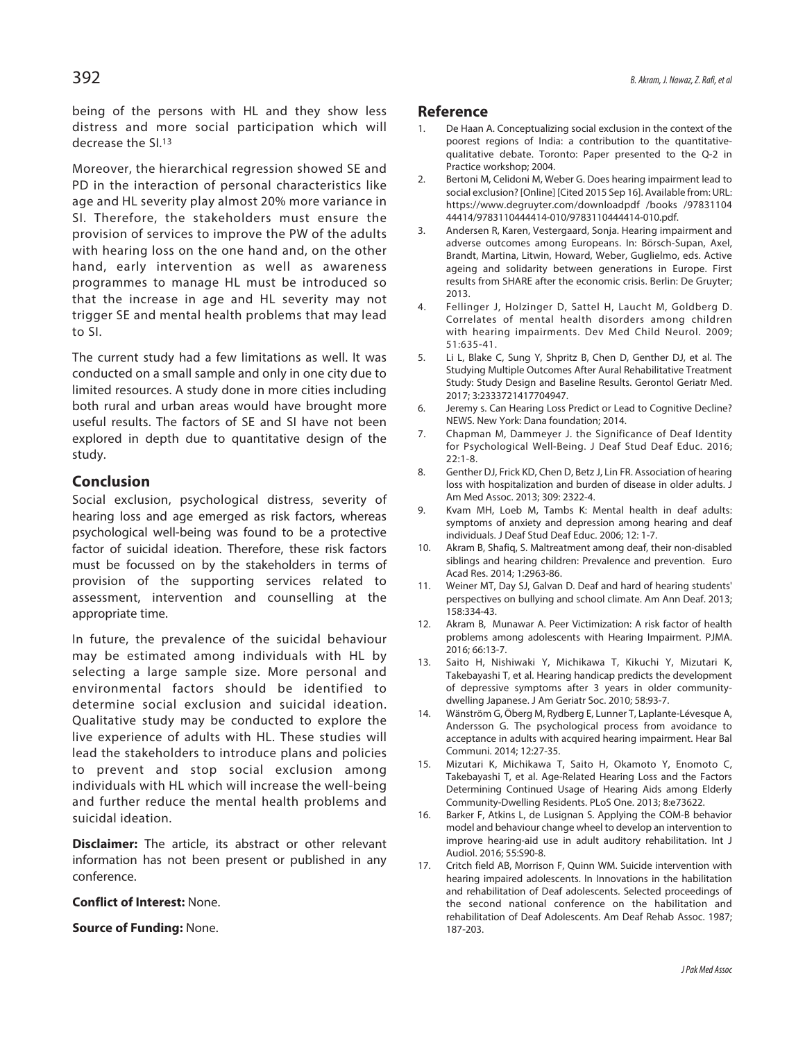being of the persons with HL and they show less distress and more social participation which will decrease the SI. 13

Moreover, the hierarchical regression showed SE and PD in the interaction of personal characteristics like age and HL severity play almost 20% more variance in SI. Therefore, the stakeholders must ensure the provision of services to improve the PW of the adults with hearing loss on the one hand and, on the other hand, early intervention as well as awareness programmes to manage HL must be introduced so that the increase in age and HL severity may not trigger SE and mental health problems that may lead to SI.

The current study had a few limitations as well. It was conducted on a small sample and only in one city due to limited resources. A study done in more cities including both rural and urban areas would have brought more useful results. The factors of SE and SI have not been explored in depth due to quantitative design of the study.

# **Conclusion**

Social exclusion, psychological distress, severity of hearing loss and age emerged as risk factors, whereas psychological well-being was found to be a protective factor of suicidal ideation. Therefore, these risk factors must be focussed on by the stakeholders in terms of provision of the supporting services related to assessment, intervention and counselling at the appropriate time.

In future, the prevalence of the suicidal behaviour may be estimated among individuals with HL by selecting a large sample size. More personal and environmental factors should be identified to determine social exclusion and suicidal ideation. Qualitative study may be conducted to explore the live experience of adults with HL. These studies will lead the stakeholders to introduce plans and policies to prevent and stop social exclusion among individuals with HL which will increase the well-being and further reduce the mental health problems and suicidal ideation.

**Disclaimer:** The article, its abstract or other relevant information has not been present or published in any conference.

#### **Conflict of Interest:** None.

#### **Source of Funding:** None.

#### **Reference**

- 1. De Haan A. Conceptualizing social exclusion in the context of the poorest regions of India: a contribution to the quantitativequalitative debate. Toronto: Paper presented to the Q-2 in Practice workshop; 2004.
- 2. Bertoni M, Celidoni M, Weber G. Does hearing impairment lead to social exclusion? [Online] [Cited 2015 Sep 16]. Available from: URL: https://www.degruyter.com/downloadpdf /books /97831104 44414/9783110444414-010/9783110444414-010.pdf.
- 3. Andersen R, Karen, Vestergaard, Sonja. Hearing impairment and adverse outcomes among Europeans. In: Börsch-Supan, Axel, Brandt, Martina, Litwin, Howard, Weber, Guglielmo, eds. Active ageing and solidarity between generations in Europe. First results from SHARE after the economic crisis. Berlin: De Gruyter; 2013.
- 4. Fellinger J, Holzinger D, Sattel H, Laucht M, Goldberg D. Correlates of mental health disorders among children with hearing impairments. Dev Med Child Neurol. 2009; 51:635-41.
- 5. Li L, Blake C, Sung Y, Shpritz B, Chen D, Genther DJ, et al. The Studying Multiple Outcomes After Aural Rehabilitative Treatment Study: Study Design and Baseline Results. Gerontol Geriatr Med. 2017; 3:2333721417704947.
- 6. Jeremy s. Can Hearing Loss Predict or Lead to Cognitive Decline? NEWS. New York: Dana foundation; 2014.
- 7. Chapman M, Dammeyer J. the Significance of Deaf Identity for Psychological Well-Being. J Deaf Stud Deaf Educ. 2016; 22:1-8.
- 8. Genther DJ, Frick KD, Chen D, Betz J, Lin FR. Association of hearing loss with hospitalization and burden of disease in older adults. J Am Med Assoc. 2013; 309: 2322-4.
- 9. Kvam MH, Loeb M, Tambs K: Mental health in deaf adults: symptoms of anxiety and depression among hearing and deaf individuals. J Deaf Stud Deaf Educ. 2006; 12: 1-7.
- 10. Akram B, Shafiq, S. Maltreatment among deaf, their non-disabled siblings and hearing children: Prevalence and prevention. Euro Acad Res. 2014; 1:2963-86.
- 11. Weiner MT, Day SJ, Galvan D. Deaf and hard of hearing students' perspectives on bullying and school climate. Am Ann Deaf. 2013; 158:334-43.
- 12. Akram B, Munawar A. Peer Victimization: A risk factor of health problems among adolescents with Hearing Impairment. PJMA. 2016; 66:13-7.
- 13. Saito H, Nishiwaki Y, Michikawa T, Kikuchi Y, Mizutari K, Takebayashi T, et al. Hearing handicap predicts the development of depressive symptoms after 3 years in older communitydwelling Japanese. J Am Geriatr Soc. 2010; 58:93-7.
- 14. Wänström G, Öberg M, Rydberg E, Lunner T, Laplante-Lévesque A, Andersson G. The psychological process from avoidance to acceptance in adults with acquired hearing impairment. Hear Bal Communi. 2014; 12:27-35.
- 15. Mizutari K, Michikawa T, Saito H, Okamoto Y, Enomoto C, Takebayashi T, et al. Age-Related Hearing Loss and the Factors Determining Continued Usage of Hearing Aids among Elderly Community-Dwelling Residents. PLoS One. 2013; 8:e73622.
- 16. Barker F, Atkins L, de Lusignan S. Applying the COM-B behavior model and behaviour change wheel to develop an intervention to improve hearing-aid use in adult auditory rehabilitation. Int J Audiol. 2016; 55:S90-8.
- 17. Critch field AB, Morrison F, Quinn WM. Suicide intervention with hearing impaired adolescents. In Innovations in the habilitation and rehabilitation of Deaf adolescents. Selected proceedings of the second national conference on the habilitation and rehabilitation of Deaf Adolescents. Am Deaf Rehab Assoc. 1987; 187-203.